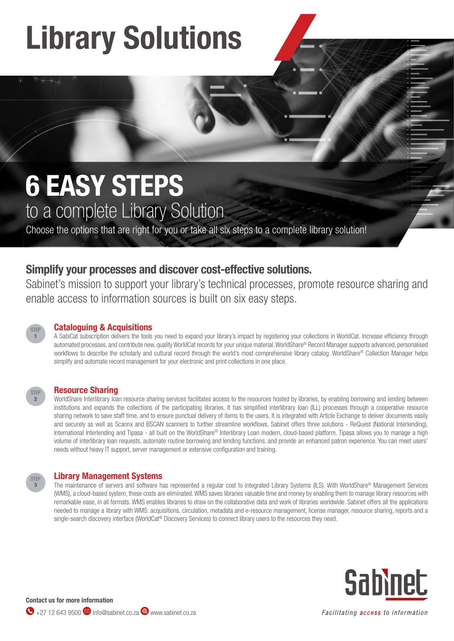## Library Solutions

# 6 EASY STEPS

to a complete Library Solution

Choose the options that are right for you or take all six steps to a complete library solution!

### Simplify your processes and discover cost-effective solutions.

Sabinet's mission to support your library's technical processes, promote resource sharing and enable access to information sources is built on six easy steps.



STEP 2

### Cataloguing & Acquisitions

A SabiCat subscription delivers the tools you need to expand your library's impact by registering your collections in WorldCat. Increase efficiency through automated processes, and contribute new, quality WorldCat records for your unique material. WorldShare® Record Manager supports advanced, personalised workflows to describe the scholarly and cultural record through the world's most comprehensive library catalog. WorldShare® Collection Manager helps simplify and automate record management for your electronic and print collections in one place.

#### Resource Sharing

WorldShare Interlibrary loan resource sharing services facilitates access to the resources hosted by libraries, by enabling borrowing and lending between institutions and expands the collections of the participating libraries. It has simplified interlibrary loan (ILL) processes through a cooperative resource sharing network to save staff time, and to ensure punctual delivery of items to the users. It is integrated with Article Exchange to deliver documents easily and securely as well as Scannx and BSCAN scanners to further streamline workflows. Sabinet offers three solutions - ReQuest (National Interlending), International Interlending and Tipasa - all built on the WorldShare® Interlibrary Loan modern, cloud-based platform. Tipasa allows you to manage a high volume of interlibrary loan requests, automate routine borrowing and lending functions, and provide an enhanced patron experience. You can meet users' needs without heavy IT support, server management or extensive configuration and training.

#### STEP 3

Library Management Systems

The maintenance of servers and software has represented a regular cost to Integrated Library Systems (ILS). With WorldShare® Management Services (WMS), a cloud-based system, these costs are eliminated. WMS saves libraries valuable time and money by enabling them to manage library resources with remarkable ease, in all formats. WMS enables libraries to draw on the collaborative data and work of libraries worldwide. Sabinet offers all the applications needed to manage a library with WMS: acquisitions, circulation, metadata and e-resource management, license manager, resource sharing, reports and a single-search discovery interface (WorldCat® Discovery Services) to connect library users to the resources they need.



Contact us for more information  $\bigodot$  +27 12 643 9500 info@sabinet.co.za  $\bigoplus$  www.sabinet.co.za

Facilitating access to information